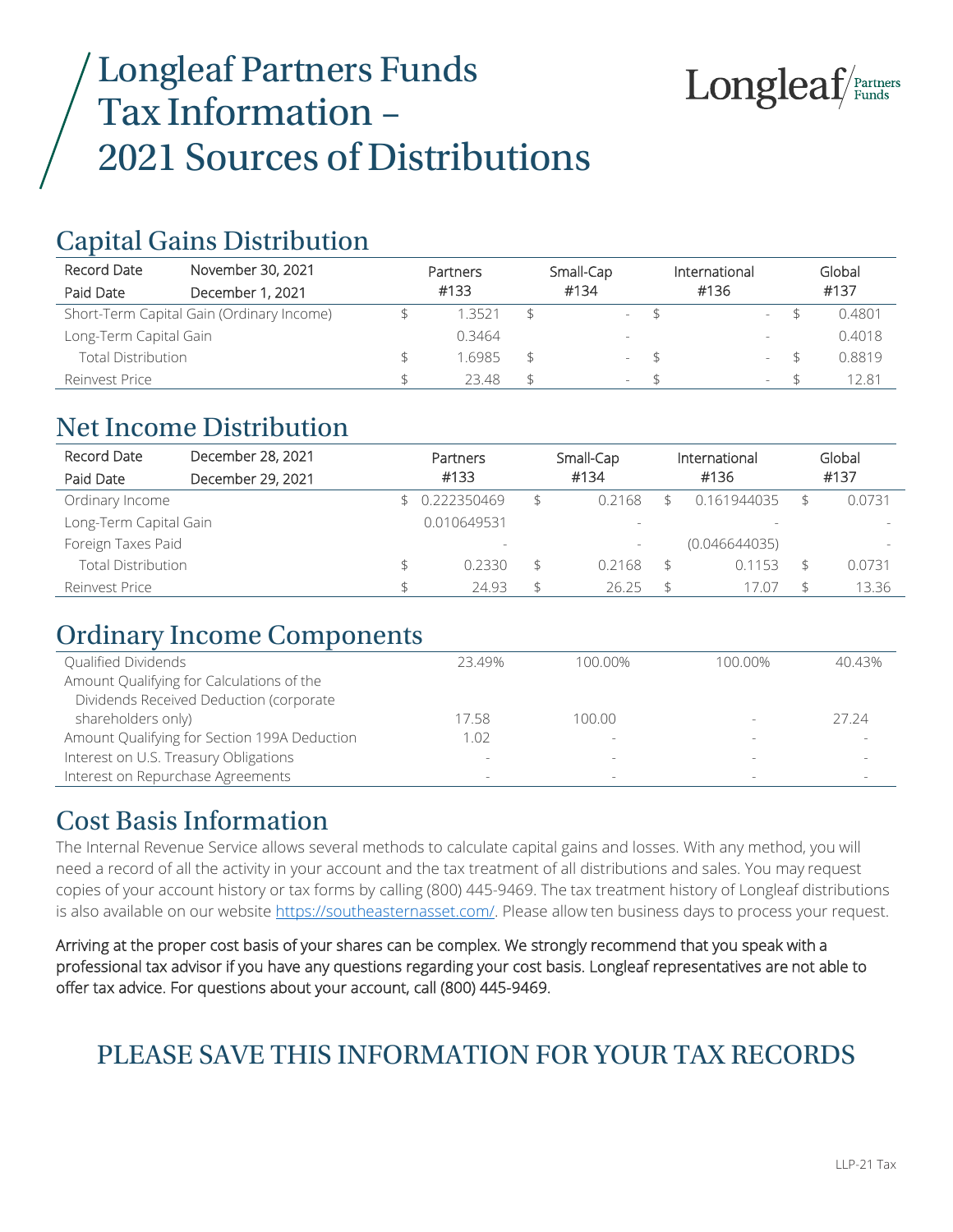# Longleaf Partners Funds Tax Information – 2021 Sources of Distributions



## Capital Gains Distribution

| Record Date               | November 30, 2021                         | Partners | Small-Cap       |      | International            | Global |
|---------------------------|-------------------------------------------|----------|-----------------|------|--------------------------|--------|
| Paid Date                 | December 1, 2021                          | #133     | #134            |      | #136                     | #137   |
|                           | Short-Term Capital Gain (Ordinary Income) | 1 3521   |                 | $-5$ | $\overline{\phantom{a}}$ | 0.4801 |
| Long-Term Capital Gain    |                                           | 0.3464   |                 |      | $\overline{\phantom{a}}$ | 0.4018 |
| <b>Total Distribution</b> |                                           | 6985     |                 | $-5$ | $\overline{\phantom{a}}$ | 0.8819 |
| Reinvest Price            |                                           | 23.48    | $\sim$ 10 $\pm$ |      | $\overline{\phantom{a}}$ | 12.81  |

#### Net Income Distribution

| Record Date               | December 28, 2021 | Partners                 | Small-Cap                |                | International            | Global                   |
|---------------------------|-------------------|--------------------------|--------------------------|----------------|--------------------------|--------------------------|
| Paid Date                 | December 29, 2021 | #133                     | #134                     |                | #136                     | #137                     |
| Ordinary Income           |                   | 0.222350469              | \$<br>0.2168             |                | 0.161944035              | 0.0731                   |
| Long-Term Capital Gain    |                   | 0.010649531              | $\overline{\phantom{0}}$ |                | $\overline{\phantom{a}}$ |                          |
| Foreign Taxes Paid        |                   | $\overline{\phantom{a}}$ | $\overline{\phantom{a}}$ |                | (0.046644035)            | $\overline{\phantom{0}}$ |
| <b>Total Distribution</b> |                   | 0.2330                   | \$<br>0.2168             | \$             | 0.1153                   | 0.0731                   |
| Reinvest Price            |                   | 24.93                    | \$<br>26.25              | $\mathfrak{L}$ | 17.07                    | 13.36                    |

## Ordinary Income Components

| Qualified Dividends                          | 23 49%                   | 100 00%                  | 100.00%                  | 4043% |
|----------------------------------------------|--------------------------|--------------------------|--------------------------|-------|
| Amount Qualifying for Calculations of the    |                          |                          |                          |       |
| Dividends Received Deduction (corporate      |                          |                          |                          |       |
| shareholders only)                           | 17.58                    | 100.00                   |                          | 27.24 |
| Amount Qualifying for Section 199A Deduction | 1.02                     | $\overline{\phantom{a}}$ |                          |       |
| Interest on U.S. Treasury Obligations        | $\overline{\phantom{a}}$ | $\equiv$                 |                          |       |
| Interest on Repurchase Agreements            | $\overline{\phantom{a}}$ | $\overline{\phantom{a}}$ | $\overline{\phantom{a}}$ |       |

#### Cost Basis Information

The Internal Revenue Service allows several methods to calculate capital gains and losses. With any method, you will need a record of all the activity in your account and the tax treatment of all distributions and sales. You may request copies of your account history or tax forms by calling (800) 445-9469. The tax treatment history of Longleaf distributions is also available on our website [https://southeasternasset.com/.](https://southeasternasset.com/) Please allow ten business days to process your request.

Arriving at the proper cost basis of your shares can be complex. We strongly recommend that you speak with a professional tax advisor if you have any questions regarding your cost basis. Longleaf representatives are not able to offer tax advice. For questions about your account, call (800) 445-9469.

# PLEASE SAVE THIS INFORMATION FOR YOUR TAX RECORDS